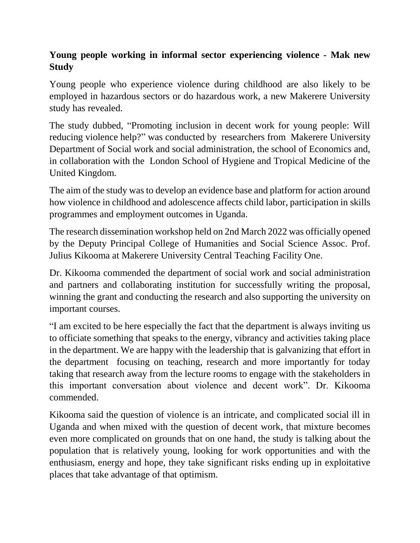## **Young people working in informal sector experiencing violence - Mak new Study**

Young people who experience violence during childhood are also likely to be employed in hazardous sectors or do hazardous work, a new Makerere University study has revealed.

The study dubbed, "Promoting inclusion in decent work for young people: Will reducing violence help?" was conducted by researchers from Makerere University Department of Social work and social administration, the school of Economics and, in collaboration with the London School of Hygiene and Tropical Medicine of the United Kingdom.

The aim of the study was to develop an evidence base and platform for action around how violence in childhood and adolescence affects child labor, participation in skills programmes and employment outcomes in Uganda.

The research dissemination workshop held on 2nd March 2022 was officially opened by the Deputy Principal College of Humanities and Social Science Assoc. Prof. Julius Kikooma at Makerere University Central Teaching Facility One.

Dr. Kikooma commended the department of social work and social administration and partners and collaborating institution for successfully writing the proposal, winning the grant and conducting the research and also supporting the university on important courses.

"I am excited to be here especially the fact that the department is always inviting us to officiate something that speaks to the energy, vibrancy and activities taking place in the department. We are happy with the leadership that is galvanizing that effort in the department focusing on teaching, research and more importantly for today taking that research away from the lecture rooms to engage with the stakeholders in this important conversation about violence and decent work". Dr. Kikooma commended.

Kikooma said the question of violence is an intricate, and complicated social ill in Uganda and when mixed with the question of decent work, that mixture becomes even more complicated on grounds that on one hand, the study is talking about the population that is relatively young, looking for work opportunities and with the enthusiasm, energy and hope, they take significant risks ending up in exploitative places that take advantage of that optimism.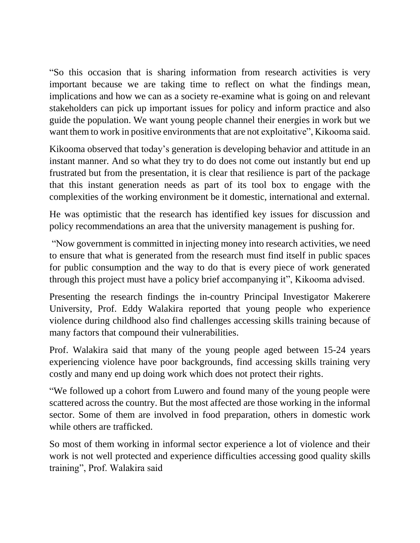"So this occasion that is sharing information from research activities is very important because we are taking time to reflect on what the findings mean, implications and how we can as a society re-examine what is going on and relevant stakeholders can pick up important issues for policy and inform practice and also guide the population. We want young people channel their energies in work but we want them to work in positive environments that are not exploitative", Kikooma said.

Kikooma observed that today's generation is developing behavior and attitude in an instant manner. And so what they try to do does not come out instantly but end up frustrated but from the presentation, it is clear that resilience is part of the package that this instant generation needs as part of its tool box to engage with the complexities of the working environment be it domestic, international and external.

He was optimistic that the research has identified key issues for discussion and policy recommendations an area that the university management is pushing for.

"Now government is committed in injecting money into research activities, we need to ensure that what is generated from the research must find itself in public spaces for public consumption and the way to do that is every piece of work generated through this project must have a policy brief accompanying it", Kikooma advised.

Presenting the research findings the in-country Principal Investigator Makerere University, Prof. Eddy Walakira reported that young people who experience violence during childhood also find challenges accessing skills training because of many factors that compound their vulnerabilities.

Prof. Walakira said that many of the young people aged between 15-24 years experiencing violence have poor backgrounds, find accessing skills training very costly and many end up doing work which does not protect their rights.

"We followed up a cohort from Luwero and found many of the young people were scattered across the country. But the most affected are those working in the informal sector. Some of them are involved in food preparation, others in domestic work while others are trafficked.

So most of them working in informal sector experience a lot of violence and their work is not well protected and experience difficulties accessing good quality skills training", Prof. Walakira said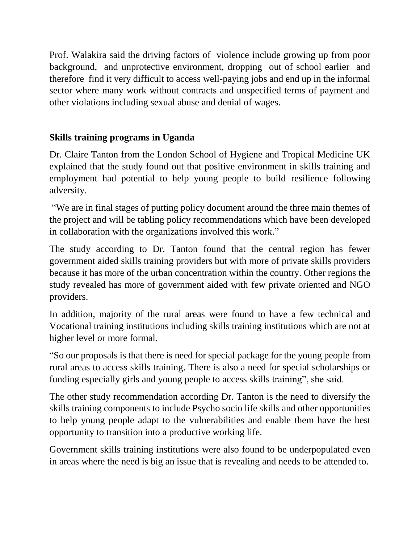Prof. Walakira said the driving factors of violence include growing up from poor background, and unprotective environment, dropping out of school earlier and therefore find it very difficult to access well-paying jobs and end up in the informal sector where many work without contracts and unspecified terms of payment and other violations including sexual abuse and denial of wages.

## **Skills training programs in Uganda**

Dr. Claire Tanton from the London School of Hygiene and Tropical Medicine UK explained that the study found out that positive environment in skills training and employment had potential to help young people to build resilience following adversity.

"We are in final stages of putting policy document around the three main themes of the project and will be tabling policy recommendations which have been developed in collaboration with the organizations involved this work."

The study according to Dr. Tanton found that the central region has fewer government aided skills training providers but with more of private skills providers because it has more of the urban concentration within the country. Other regions the study revealed has more of government aided with few private oriented and NGO providers.

In addition, majority of the rural areas were found to have a few technical and Vocational training institutions including skills training institutions which are not at higher level or more formal.

"So our proposals is that there is need for special package for the young people from rural areas to access skills training. There is also a need for special scholarships or funding especially girls and young people to access skills training", she said.

The other study recommendation according Dr. Tanton is the need to diversify the skills training components to include Psycho socio life skills and other opportunities to help young people adapt to the vulnerabilities and enable them have the best opportunity to transition into a productive working life.

Government skills training institutions were also found to be underpopulated even in areas where the need is big an issue that is revealing and needs to be attended to.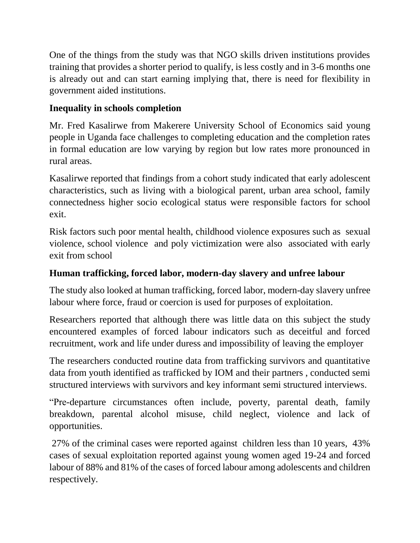One of the things from the study was that NGO skills driven institutions provides training that provides a shorter period to qualify, is less costly and in 3-6 months one is already out and can start earning implying that, there is need for flexibility in government aided institutions.

## **Inequality in schools completion**

Mr. Fred Kasalirwe from Makerere University School of Economics said young people in Uganda face challenges to completing education and the completion rates in formal education are low varying by region but low rates more pronounced in rural areas.

Kasalirwe reported that findings from a cohort study indicated that early adolescent characteristics, such as living with a biological parent, urban area school, family connectedness higher socio ecological status were responsible factors for school exit.

Risk factors such poor mental health, childhood violence exposures such as sexual violence, school violence and poly victimization were also associated with early exit from school

## **Human trafficking, forced labor, modern-day slavery and unfree labour**

The study also looked at human trafficking, forced labor, modern-day slavery unfree labour where force, fraud or coercion is used for purposes of exploitation.

Researchers reported that although there was little data on this subject the study encountered examples of forced labour indicators such as deceitful and forced recruitment, work and life under duress and impossibility of leaving the employer

The researchers conducted routine data from trafficking survivors and quantitative data from youth identified as trafficked by IOM and their partners , conducted semi structured interviews with survivors and key informant semi structured interviews.

"Pre-departure circumstances often include, poverty, parental death, family breakdown, parental alcohol misuse, child neglect, violence and lack of opportunities.

27% of the criminal cases were reported against children less than 10 years, 43% cases of sexual exploitation reported against young women aged 19-24 and forced labour of 88% and 81% of the cases of forced labour among adolescents and children respectively.